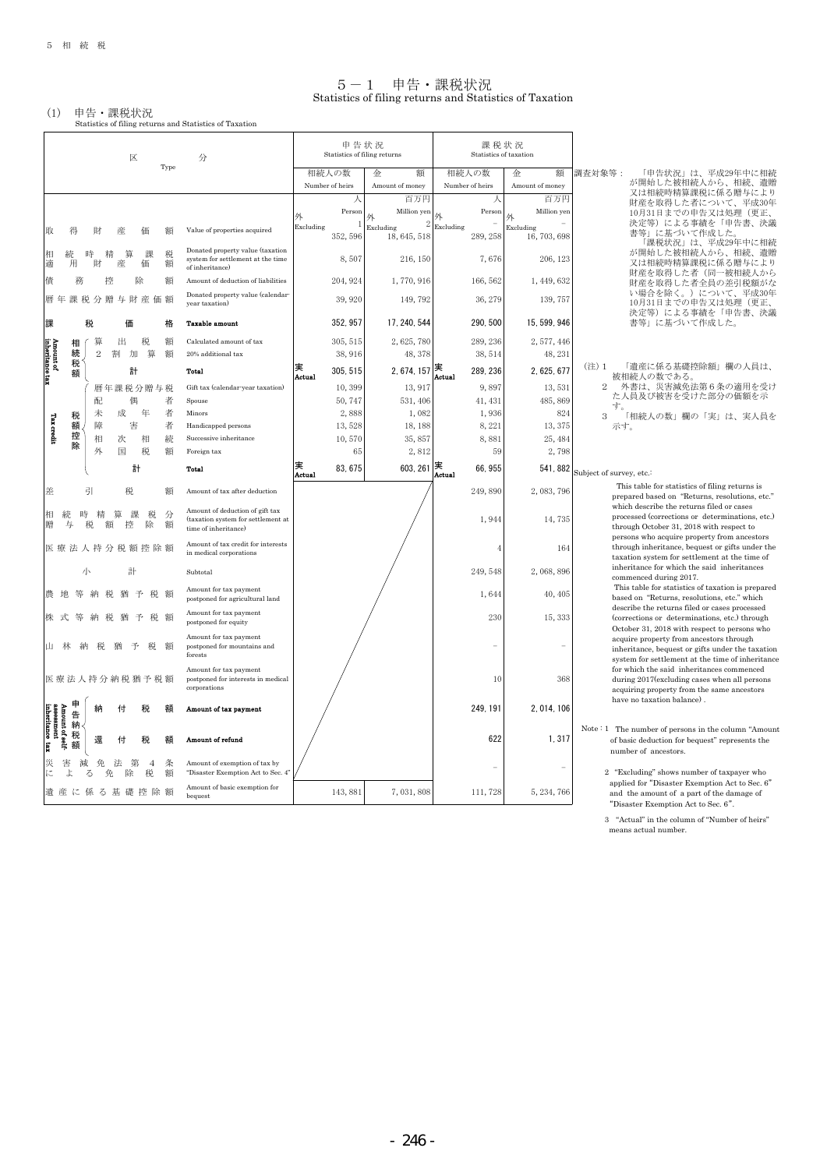$\mathbf{r}$ 

#### 5-1 申告・課税状況 Statistics of filing returns and Statistics of Taxation

(1) 申告・課税状況 Statistics of filing returns and Statistics of Taxation

|                                                         |          |             |                |              |                          |        |                                                                                               |           | 申告状況                     |                              |           | 課税状況                     |                           |                                                                                                                                                 |
|---------------------------------------------------------|----------|-------------|----------------|--------------|--------------------------|--------|-----------------------------------------------------------------------------------------------|-----------|--------------------------|------------------------------|-----------|--------------------------|---------------------------|-------------------------------------------------------------------------------------------------------------------------------------------------|
|                                                         |          |             |                | 区            |                          | Type   | 分                                                                                             |           |                          | Statistics of filing returns |           | Statistics of taxation   |                           |                                                                                                                                                 |
|                                                         |          |             |                |              |                          |        |                                                                                               |           | 相続人の数<br>Number of heirs | 額<br>金<br>Amount of money    |           | 相続人の数<br>Number of heirs | 額<br>金<br>Amount of money | 調査対象等:<br>「申告状況」は、平成29年中に相続<br>が開始した被相続人から、相続、遺贈                                                                                                |
|                                                         |          |             |                |              |                          |        |                                                                                               |           |                          | 百万円                          |           |                          | 百万円                       | 又は相続時精算課税に係る贈与により                                                                                                                               |
|                                                         |          |             |                |              |                          |        |                                                                                               | 外         | Person                   | Million yen<br>外             |           | Person                   | Million yer<br>外          | 財産を取得した者について、平成30年<br>10月31日までの申告又は処理(更正、                                                                                                       |
| 取                                                       |          |             |                |              |                          |        | Value of properties acquired                                                                  | Excluding | 1<br>352, 596            | Excluding<br>18, 645, 518    | Excluding | 289, 258                 | Excluding<br>16, 703, 698 | 決定等)による事績を「申告書、決議<br>書等」に基づいて作成した。<br>「課税状況」は、平成29年中に相続                                                                                         |
| 相<br>適                                                  | 用        |             | 財              | 篁<br>産       | 課<br>価                   | 税<br>額 | Donated property value (taxation<br>system for settlement at the time<br>of inheritance)      |           | 8,507                    | 216, 150                     |           | 7,676                    | 206, 123                  | が開始した被相続人から、相続、遺贈<br>又は相続時精算課税に係る贈与により                                                                                                          |
| 債                                                       |          | 務           | 控              |              | 除                        | 額      | Amount of deduction of liabilities                                                            |           | 204, 924                 | 1,770,916                    |           | 166, 562                 | 1, 449, 632               | 財産を取得した者(同一被相続人から<br>財産を取得した者全員の差引税額がな                                                                                                          |
|                                                         | 暦 年<br>課 |             |                | 税分贈与財産価額     |                          |        | Donated property value (calendar                                                              |           | 39, 920                  | 149, 792                     |           | 36, 279                  | 139, 757                  | い場合を除く。) について、平成30年<br>10月31日までの申告又は処理(更正、                                                                                                      |
|                                                         |          |             |                |              |                          |        | year taxation)                                                                                |           |                          |                              |           |                          |                           | 決定等)による事績を「申告書、決議                                                                                                                               |
| 課                                                       |          | 税           |                | 価            |                          | 格      | <b>Taxable amount</b>                                                                         |           | 352, 957                 | 17, 240, 544                 |           | 290, 500                 | 15, 599, 946              | 書等」に基づいて作成した。                                                                                                                                   |
|                                                         |          | 相           | 筸              | 出            | 税                        | 額      | Calculated amount of tax                                                                      |           | 305, 515                 | 2,625,780                    |           | 289, 236                 | 2, 577, 446               |                                                                                                                                                 |
|                                                         |          | 続<br>税      | $\overline{2}$ | 割<br>加       | 算                        | 額      | 20% additional tax                                                                            |           | 38,916                   | 48, 378                      |           | 38, 514                  | 48, 231                   | 「遺産に係る基礎控除額」欄の人員は、<br>(注) 1                                                                                                                     |
| Amount of<br>inheritance tax                            |          | 額           |                | 計            |                          |        | Total                                                                                         | Actual    | 305, 515                 | 2, 674, 157                  | Actual    | 289, 236                 | 2, 625, 677               | 被相続人の数である。                                                                                                                                      |
|                                                         |          |             |                | 暦年課税分贈与税     |                          |        | Gift tax (calendar-year taxation)                                                             |           | 10,399                   | 13, 917                      |           | 9,897                    | 13,531                    | 外書は、災害減免法第6条の適用を受け<br>た人員及び被害を受けた部分の価額を示                                                                                                        |
|                                                         |          |             | 配              | 偶            |                          | 者      | Spouse                                                                                        |           | 50,747                   | 531, 406                     |           | 41, 431                  | 485, 869                  | す。                                                                                                                                              |
|                                                         |          | 税           | 未              | 成            | 年                        | 者      | Minors                                                                                        |           | 2,888                    | 1,082                        |           | 1,936                    | 824                       | 「相続人の数」欄の「実」は、実人員を<br>3                                                                                                                         |
| <b>Tax</b> credit                                       |          | 額<br>控      | 障              | 害            |                          | 者      | Handicapped persons                                                                           |           | 13,528                   | 18, 188                      |           | 8,221                    | 13, 375                   | 示す。                                                                                                                                             |
|                                                         |          | 除           | 相<br>外         | 次<br>国       | 相<br>税                   | 続<br>額 | Successive inheritance<br>Foreign tax                                                         |           | 10,570<br>65             | 35,857<br>2,812              |           | 8,881<br>59              | 25, 484<br>2,798          |                                                                                                                                                 |
|                                                         |          |             |                |              |                          |        |                                                                                               | 実         |                          |                              | 実         |                          |                           |                                                                                                                                                 |
|                                                         |          |             |                |              | 計                        |        | <b>Total</b>                                                                                  | Actual    | 83, 675                  | 603, 261                     | Actual    | 66, 955                  | 541, 882                  | Subject of survey, etc.:                                                                                                                        |
| 差                                                       |          | 引           |                | 税            |                          | 額      | Amount of tax after deduction                                                                 |           |                          |                              |           | 249,890                  | 2,083,796                 | This table for statistics of filing returns is<br>prepared based on "Returns, resolutions, etc."                                                |
| 相<br>贈                                                  | 与        |             | 額              | 筸<br>控       | 税<br>課<br>除              | 分<br>額 | Amount of deduction of gift tax<br>(taxation system for settlement at<br>time of inheritance) |           |                          |                              |           | 1,944                    | 14,735                    | which describe the returns filed or cases<br>processed (corrections or determinations, etc.)<br>through October 31, 2018 with respect to        |
|                                                         |          |             |                | 医療法人持分税額控除額  |                          |        | Amount of tax credit for interests<br>in medical corporations                                 |           |                          |                              |           |                          | 164                       | persons who acquire property from ancestors<br>through inheritance, bequest or gifts under the<br>taxation system for settlement at the time of |
|                                                         |          | 小           |                | 計            |                          |        | Subtotal                                                                                      |           |                          |                              |           | 249, 548                 | 2,068,896                 | inheritance for which the said inheritances<br>commenced during 2017.                                                                           |
|                                                         |          |             |                |              | 予                        |        | Amount for tax payment<br>postponed for agricultural land                                     |           |                          |                              |           | 1,644                    | 40, 405                   | This table for statistics of taxation is prepared<br>based on "Returns, resolutions, etc." which                                                |
|                                                         |          |             | 税              | 猶            | 予<br>税.                  | 、貊     | Amount for tax payment<br>postponed for equity                                                |           |                          |                              |           | 230                      | 15, 333                   | describe the returns filed or cases processed<br>(corrections or determinations, etc.) through<br>October 31, 2018 with respect to persons who  |
|                                                         |          |             |                | 猶            | 予<br>税                   | 額      | Amount for tax payment<br>postponed for mountains and<br>forests                              |           |                          |                              |           |                          |                           | acquire property from ancestors through<br>inheritance, bequest or gifts under the taxation<br>system for settlement at the time of inheritance |
|                                                         |          |             |                | 医療法人持分納税猶予税額 |                          |        | Amount for tax payment<br>postponed for interests in medical<br>corporations                  |           |                          |                              |           | 10                       | 368                       | for which the said inheritances commenced<br>during 2017(excluding cases when all persons<br>acquiring property from the same ancestors         |
|                                                         |          | 申<br>告      |                | 付            | 税                        | 額      | Amount of tax payment                                                                         |           |                          |                              |           | 249.191                  | 2, 014, 106               | have no taxation balance).                                                                                                                      |
| Amount of self-<br>assessment<br>inheritance tax<br>xux |          | 納<br>税<br>額 | 還              | 付            | 税                        | 額      | Amount of refund                                                                              |           |                          |                              |           | 622                      | 1,317                     | Note: 1 The number of persons in the column "Amount"<br>of basic deduction for bequest" represents the<br>number of ancestors.                  |
| に                                                       | よ        | る           | 免<br>免         | 法<br>除       | 第<br>$\overline{4}$<br>税 | 条<br>額 | Amount of exemption of tax by<br>"Disaster Exemption Act to Sec. 4"                           |           |                          |                              |           |                          |                           | 2 "Excluding" shows number of taxpayer who                                                                                                      |
|                                                         |          |             |                | 遺産に係る基礎控除額   |                          |        | Amount of basic exemption for<br>bequest                                                      |           | 143, 881                 | 7,031,808                    |           | 111,728                  | 5, 234, 766               | applied for "Disaster Exemption Act to Sec. 6"<br>and the amount of a part of the damage of<br>"Disaster Exemption Act to Sec. 6".              |

3 "Actual" in the column of "Number of heirs" means actual number.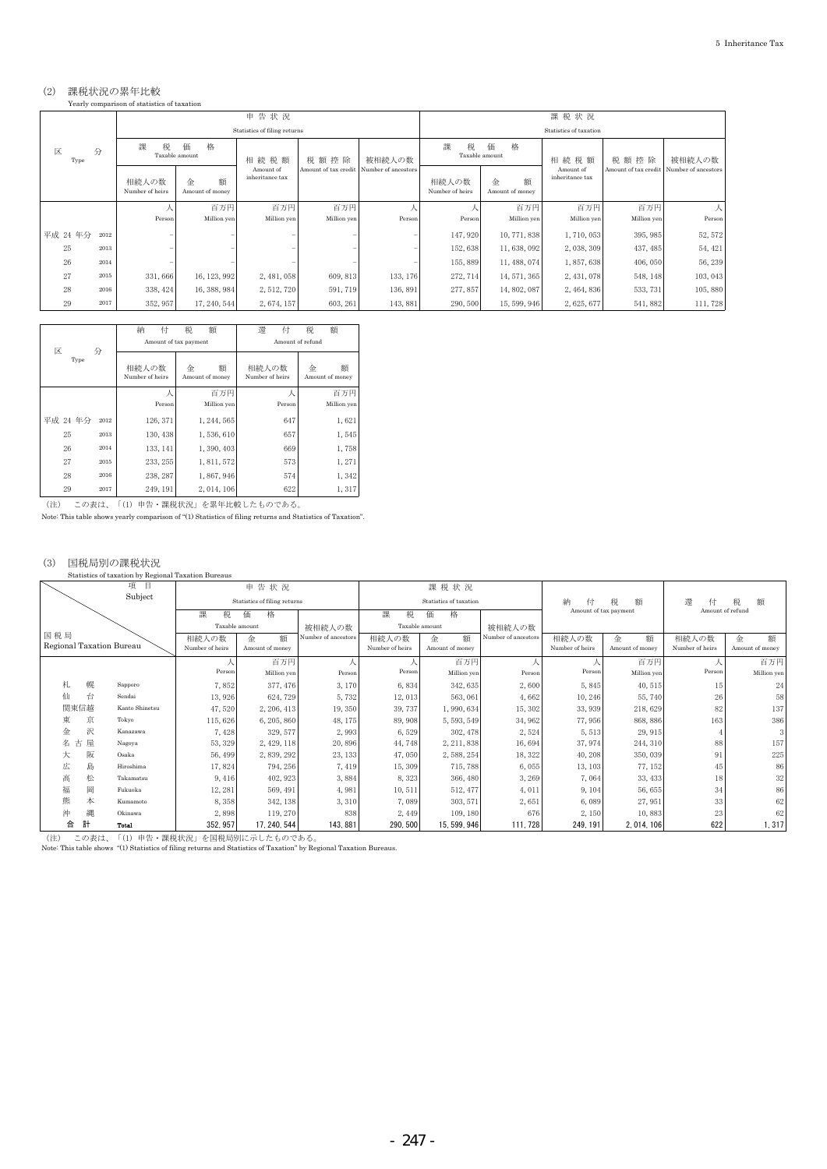## (2) 課税状況の累年比較 Yearly comparison of statistics of taxation

|           |      | Yearly comparison of statistics of taxation |                           |                              |                      |                     |                          |                           |                              |                      |                     |  |  |  |
|-----------|------|---------------------------------------------|---------------------------|------------------------------|----------------------|---------------------|--------------------------|---------------------------|------------------------------|----------------------|---------------------|--|--|--|
|           |      |                                             |                           | 申告状況                         |                      |                     |                          |                           | 課税状況                         |                      |                     |  |  |  |
|           |      |                                             |                           | Statistics of filing returns |                      |                     | Statistics of taxation   |                           |                              |                      |                     |  |  |  |
| 区<br>Type | 分    | 課<br>税                                      | 格<br>価<br>Taxable amount  | 相続税額                         | 税額控除                 | 被相続人の数              | 課<br>税                   | 格<br>価<br>Taxable amount  | 相続税額                         | 税額控除                 | 被相続人の数              |  |  |  |
|           |      | 相続人の数<br>Number of heirs                    | 額<br>金<br>Amount of money | Amount of<br>inheritance tax | Amount of tax credit | Number of ancestors | 相続人の数<br>Number of heirs | 額<br>金<br>Amount of money | Amount of<br>inheritance tax | Amount of tax credit | Number of ancestors |  |  |  |
|           |      |                                             | 百万円                       | 百万円                          | 百万円                  |                     |                          | 百万円                       | 百万円                          | 百万円                  |                     |  |  |  |
|           |      | Person                                      | Million yen               | Million yen                  | Million yen          | Person              | Person                   | Million yen               | Million yen                  | Million yen          | Person              |  |  |  |
| 平成 24 年分  | 2012 |                                             |                           |                              |                      |                     | 147, 920                 | 10, 771, 838              | 1,710,053                    | 395, 985             | 52, 572             |  |  |  |
| 25        | 2013 |                                             |                           |                              |                      |                     | 152,638                  | 11, 638, 092              | 2, 038, 309                  | 437, 485             | 54, 421             |  |  |  |
| 26        | 2014 |                                             |                           |                              |                      |                     | 155,889                  | 11, 488, 074              | 1,857,638                    | 406, 050             | 56, 239             |  |  |  |
| 27        | 2015 | 331,666                                     | 16, 123, 992              | 2, 481, 058                  | 609, 813             | 133, 176            | 272, 714                 | 14, 571, 365              | 2, 431, 078                  | 548, 148             | 103, 043            |  |  |  |
| 28        | 2016 | 338, 424                                    | 16, 388, 984              | 2, 512, 720                  | 591, 719             | 136, 891            | 277, 857                 | 14, 802, 087              | 2, 464, 836                  | 533, 731             | 105,880             |  |  |  |
| 29        | 2017 | 352, 957                                    | 17, 240, 544              | 2, 674, 157                  | 603, 261             | 143, 881            | 290, 500                 | 15, 599, 946              | 2,625,677                    | 541, 882             | 111,728             |  |  |  |

|           |      | 納<br>付                   | 税<br>額                    | 澴<br>付                   | 額<br>税                    |
|-----------|------|--------------------------|---------------------------|--------------------------|---------------------------|
|           |      |                          | Amount of tax payment     |                          | Amount of refund          |
| 区<br>Type | 分    | 相続人の数<br>Number of heirs | 額<br>金<br>Amount of money | 相続人の数<br>Number of heirs | 額<br>金<br>Amount of money |
|           |      |                          | 百万円                       |                          | 百万円                       |
|           |      | Person                   | Million yen               | Person                   | Million yen               |
| 平成 24 年分  | 2012 | 126, 371                 | 1, 244, 565               | 647                      | 1,621                     |
| 25        | 2013 | 130, 438                 | 1,536,610                 | 657                      | 1,545                     |
| 26        | 2014 | 133, 141                 | 1,390,403                 | 669                      | 1,758                     |
| 27        | 2015 | 233, 255                 | 1, 811, 572               | 573                      | 1,271                     |
| 28        | 2016 | 238, 287                 | 1,867,946                 | 574                      | 1,342                     |
| 29        | 2017 | 249, 191                 | 2, 014, 106               | 622                      | 1,317                     |

(注) この表は、「(1) 申告・課税状況」を累年比較したものである。

Note: This table shows yearly comparison of "(1) Statistics of filing returns and Statistics of Taxation".

#### (3) 国税局別の課税状況

| Statistics of taxation by Regional Taxation Bureaus |  |
|-----------------------------------------------------|--|
|                                                     |  |

|                          |   | 項<br>目<br>Subject |                 | 申告状況<br>Statistics of filing returns |                     |                 | 課税状況<br>Statistics of taxation |                     | 納<br>付                | 税<br>額          | 澴<br>付           | 税<br>額          |
|--------------------------|---|-------------------|-----------------|--------------------------------------|---------------------|-----------------|--------------------------------|---------------------|-----------------------|-----------------|------------------|-----------------|
|                          |   |                   | 課<br>税          | 価<br>格                               |                     | 課<br>税          | 価<br>格                         |                     | Amount of tax payment |                 | Amount of refund |                 |
|                          |   |                   |                 | Taxable amount                       | 被相続人の数              |                 | Taxable amount                 | 被相続人の数              |                       |                 |                  |                 |
| 国税局                      |   |                   | 相続人の数           | 額<br>金                               | Number of ancestors | 相続人の数           | 額<br>金                         | Number of ancestors | 相続人の数                 | 額<br>金          | 相続人の数            | 金<br>額          |
| Regional Taxation Bureau |   |                   | Number of heirs | Amount of money                      |                     | Number of heirs | Amount of money                |                     | Number of heirs       | Amount of money | Number of heirs  | Amount of money |
|                          |   |                   |                 | 百万円                                  |                     |                 | 百万円                            |                     |                       | 百万円             |                  | 百万円             |
|                          |   |                   | Person          | Million yen                          | Person              | Person          | Million yen                    | Person              | Person                | Million yen     | Person           | Million yen     |
| 札                        | 幌 | Sapporo           | 7,852           | 377, 476                             | 3,170               | 6,834           | 342, 635                       | 2,600               | 5,845                 | 40,515          | 15               | 24              |
| 仙                        | 台 | Sendai            | 13,926          | 624, 729                             | 5,732               | 12,013          | 563, 061                       | 4,662               | 10, 246               | 55, 740         | 26               | 58              |
| 関東信越                     |   | Kanto Shinetsu    | 47,520          | 2, 206, 413                          | 19,350              | 39, 737         | 1,990,634                      | 15, 302             | 33, 939               | 218,629         | 82               | 137             |
| 東                        | 京 | Tokyo             | 115,626         | 6, 205, 860                          | 48, 175             | 89, 908         | 5, 593, 549                    | 34, 962             | 77,956                | 868, 886        | 163              | 386             |
| 金                        | 沢 | Kanazawa          | 7,428           | 329, 577                             | 2,993               | 6,529           | 302, 478                       | 2,524               | 5,513                 | 29, 915         |                  | 3               |
| 古<br>名                   | 屋 | Nagoya            | 53, 329         | 2, 429, 118                          | 20,896              | 44,748          | 2, 211, 838                    | 16,694              | 37, 974               | 244, 310        | 88               | 157             |
| 大                        | 阪 | Osaka             | 56, 499         | 2,839,292                            | 23, 133             | 47,050          | 2, 588, 254                    | 18, 322             | 40, 208               | 350, 039        | 91               | 225             |
| 広                        | 島 | Hiroshima         | 17,824          | 794, 256                             | 7,419               | 15, 309         | 715, 788                       | 6,055               | 13, 103               | 77, 152         | 45               | 86              |
| 高                        | 松 | Takamatsu         | 9,416           | 402, 923                             | 3,884               | 8,323           | 366, 480                       | 3,269               | 7,064                 | 33, 433         | 18               | 32              |
| 福                        | 岡 | Fukuoka           | 12, 281         | 569, 491                             | 4,981               | 10,511          | 512, 477                       | 4,011               | 9,104                 | 56,655          | 34               | 86              |
| 熊                        | 本 | Kumamoto          | 8,358           | 342, 138                             | 3,310               | 7,089           | 303, 571                       | 2,651               | 6,089                 | 27, 951         | 33               | 62              |
| 沖                        | 縄 | Okinawa           | 2,898           | 119, 270                             | 838                 | 2,449           | 109, 180                       | 676                 | 2,150                 | 10,883          | 23               | 62              |
| 合<br>計                   |   | Total             | 352, 957        | 17, 240, 544                         | 143, 881            | 290, 500        | 15, 599, 946                   | 111, 728            | 249, 191              | 2, 014, 106     | 622              | 1,317           |

(注) この表は、「(1) 申告・課税状況」を国税局別に示したものである。 Note: This table shows "(1) Statistics of filing returns and Statistics of Taxation" by Regional Taxation Bureaus.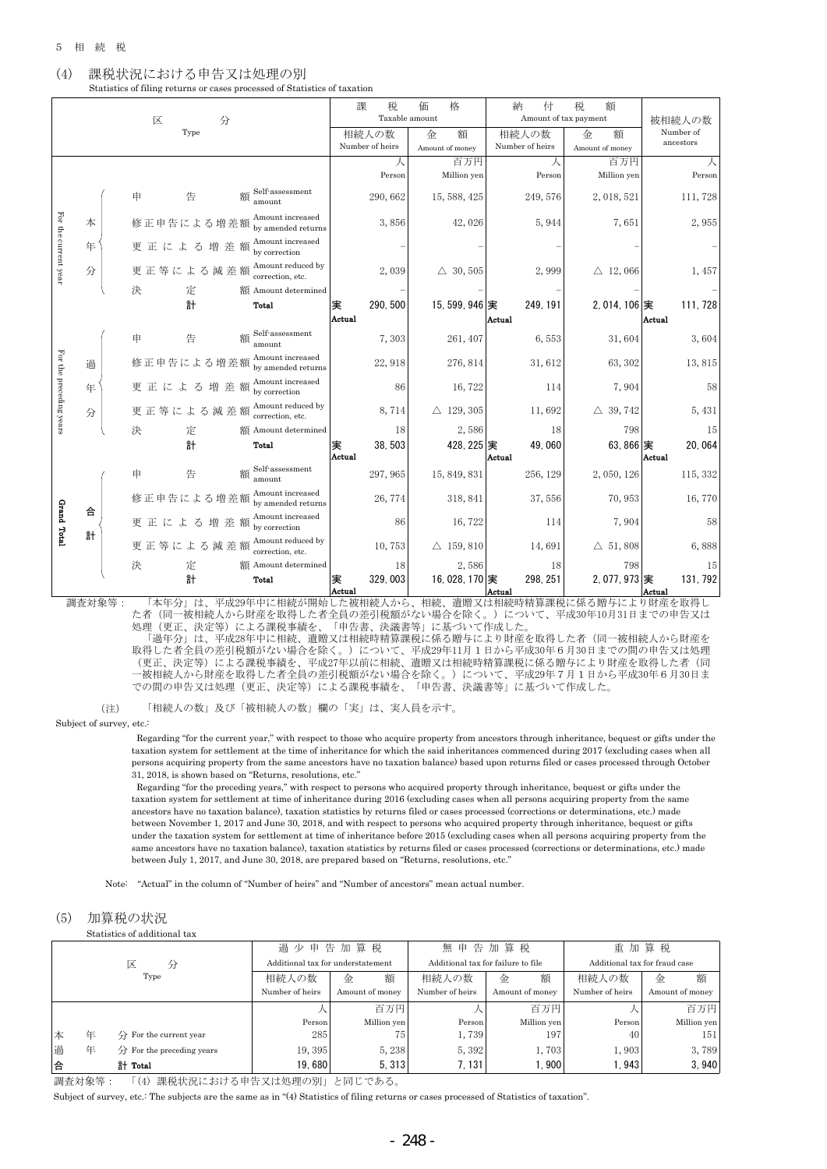#### (4) 課税状況における申告又は処理の別 Statistics of filing returns or cases processed of Statistics of taxation

課 税 価 格 | 納 付 税 額 Taxable amount **Taxable amount** 被相続人の数 区 分 Type Number of 相続人の数 金 額 | 相続人の数 | 金 額 ancestors Number of heirs Amount of money Number of heirs Amount of money 人 百万円 人 百万円 人 Person Million yen Person Million yen Person Self-assessment 申 告 額 amount 290, 662 15, 588, 425 249, 576 2, 018, 521 111, 728 For For the current year Amount increased 本 修正申告による増差額 Alliount increased the control of the control of the 42,026 5,944 7,651 2,955 the current year Amount increased 年 更 正 に よ る 増 差 額 by correction - - - - - Amount reduced by 更正等による減差額 分 Alliotunt reduced by  $2,039$   $\Delta$  30, 505  $2,999$   $\Delta$  12, 066 1, 457 決 定 額 Amount determined - - - - - 計 Total 実 290,500 15,599,946 実 249,191 2,014,106 実 111,728 Actual Actual | Actual Self-assessment amount 7, 303 261, 407 6, 553 31, 604 3, 604 申 告 額 Amount increased For the preceding year: For the preceding years 修正申告による増差額 過 by amended returns and the control of the control of the control of the control of the control of the control o<br>by amended returns and the control of the control of the control of the control of the control of the control Amount increased 更 正 に よ る 増 差 額 年 by correction 86 16,722 114 7,904 58 Amount reduced by<br>correction, etc. 更正等による減差額 分 Expression, etc.  $8,714 \rightarrow 8,714$   $\Delta$  129, 305 11, 692  $\Delta$  39, 742 5, 431 決 額 Amount determined 18 2,586 18 798 15 計 Total 実 38,503 428,225 実 49,060 63,866 実 20,064 Actual Actual and Actual Actual Actual Actual Actual Actual Actual Actual Actual Actual Actual Actual Actual Actual A **額** Self-assessment amount 297,965 15,849,831 256,129 2,050,126 115,332 申 告 額 修正申告による増差額 <sup>Amount increased</sup> 26,774 318,841 37,556 70,953 16,770 Grand Grand Total 合 Amount increased 更 正 に よ る 増 差 額 by correction 86 16,722 114 7,904 58 Total 計 Amount reduced by 更正等による減差額 Expression, etc. 10, 753  $\Delta$  159, 810 14, 691  $\Delta$  51, 808 6, 888 決 額 Amount determined 18 2,586 18 798 15 計 Total 実 329,003 16,028,170 実 298,251 2,077,973 実 131,792 Actual Actual Actual Actual Actual

調査対象等: 「本年分」は、平成29年中に相続が開始した被相続人から、相続、遺贈又は相続時精算課税に係る贈与により財産を取得し<br>f (同一被相続人から財産を取得した者全員の差引税額がない場合を除く。) について、平成30年10月31日までの申告又は た者(同一被相続人から財産を取得した者全員の差引税額がない場合を除く。 処理(更正、決定等)による課税事績を、「申告書、決議書等」に基づいて作成した。 「過年分」は、平成28年中に相続、遺贈又は相続時精算課税に係る贈与により財産を取得した者(同一被相続人から財産を

取得した者全員の差引税額がない場合を除く。)について、平成29年11月1日から平成30年6月30日までの間の申告又は処理 (更正、決定等)による課税事績を、平成27年以前に相続、遺贈又は相続時精算課税に係る贈与により財産を取得した者(同 一被相続人から財産を取得した者全員の差引税額がない場合を除く。)について、平成29年7月1日から平成30年6月30日ま での間の申告又は処理(更正、決定等)による課税事績を、「申告書、決議書等」に基づいて作成した。

 (注) 「相続人の数」及び「被相続人の数」欄の「実」は、実人員を示す。

#### Subject of survey, etc.:

 Regarding "for the current year," with respect to those who acquire property from ancestors through inheritance, bequest or gifts under the taxation system for settlement at the time of inheritance for which the said inheritances commenced during 2017 (excluding cases when all persons acquiring property from the same ancestors have no taxation balance) based upon returns filed or cases processed through October 31, 2018, is shown based on "Returns, resolutions, etc."

 Regarding "for the preceding years," with respect to persons who acquired property through inheritance, bequest or gifts under the taxation system for settlement at time of inheritance during 2016 (excluding cases when all persons acquiring property from the same ancestors have no taxation balance), taxation statistics by returns filed or cases processed (corrections or determinations, etc.) made between November 1, 2017 and June 30, 2018, and with respect to persons who acquired property through inheritance, bequest or gifts under the taxation system for settlement at time of inheritance before 2015 (excluding cases when all persons acquiring property from the same ancestors have no taxation balance), taxation statistics by returns filed or cases processed (corrections or determinations, etc.) made between July 1, 2017, and June 30, 2018, are prepared based on "Returns, resolutions, etc."

Note: "Actual" in the column of "Number of heirs" and "Number of ancestors" mean actual number.

#### (5) 加算税の状況

Statistics of additional tax

|   |   |                                                  | 過少申告加算税                           |                 | 無申告加算税          |                                    |                 | 重加算税                          |
|---|---|--------------------------------------------------|-----------------------------------|-----------------|-----------------|------------------------------------|-----------------|-------------------------------|
|   |   | 区<br>分                                           | Additional tax for understatement |                 |                 | Additional tax for failure to file |                 | Additional tax for fraud case |
|   |   | Type                                             | 相続人の数                             | 額<br>金          | 相続人の数           | 額<br>金                             | 相続人の数           | 額<br>金                        |
|   |   |                                                  | Number of heirs                   | Amount of money | Number of heirs | Amount of money                    | Number of heirs | Amount of money               |
|   |   |                                                  |                                   | 百万円             |                 | 百万円                                |                 | 百万円                           |
|   |   |                                                  | Person                            | Million yen     | Person          | Million yen                        | Person          | Million yen                   |
| 本 | 年 | $\overleftrightarrow{D}$ For the current year    | 285                               | 75 <sub>1</sub> | 1,739           | 197                                | 40              | 151                           |
| 過 | 年 | $\overleftrightarrow{H}$ For the preceding years | 19,395                            | 5,238           | 5,392           | 1,703                              | 1,903           | 3,789                         |
| 合 |   | 計 Total                                          | 19.680                            | 5.313           | 7, 131          | .900                               | 1.943           | 3,940                         |

調査対象等: 「(4) 課税状況における申告又は処理の別」と同じである。

Subject of survey, etc.: The subjects are the same as in "(4) Statistics of filing returns or cases processed of Statistics of taxation".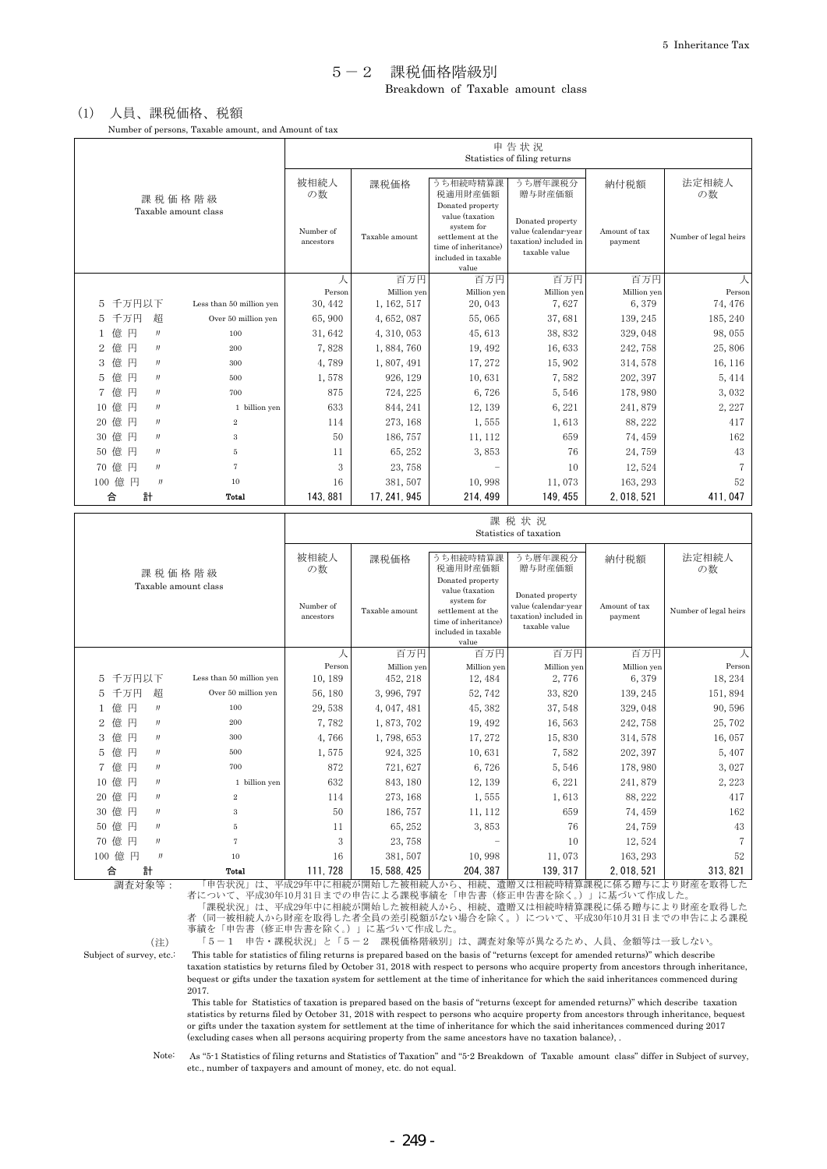### Breakdown of Taxable amount class 5-2 課税価格階級別

## (1) 人員、課税価格、税額

Number of persons, Taxable amount, and Amount of tax

|                                                                      |                        |                |                                                                                                                                | 申告状況<br>Statistics of filing returns                                               |                          |                       |
|----------------------------------------------------------------------|------------------------|----------------|--------------------------------------------------------------------------------------------------------------------------------|------------------------------------------------------------------------------------|--------------------------|-----------------------|
| 課税価格階級                                                               | 被相続人<br>の数             | 課税価格           | うち相続時精算課<br>税適用財産価額                                                                                                            | うち暦年課税分<br>贈与財産価額                                                                  | 納付税額                     | 法定相続人<br>の数           |
| Taxable amount class                                                 | Number of<br>ancestors | Taxable amount | Donated property<br>value (taxation<br>system for<br>settlement at the<br>time of inheritance)<br>included in taxable<br>value | Donated property<br>value (calendar-year<br>taxation) included in<br>taxable value | Amount of tax<br>payment | Number of legal heirs |
|                                                                      | 人                      | 百万円            | 百万円                                                                                                                            | 百万円                                                                                | 百万円                      | 人                     |
| 千万円以下                                                                | Person                 | Million yen    | Million yen                                                                                                                    | Million yen                                                                        | Million yen              | Person                |
| Less than 50 million yen<br>5                                        | 30, 442                | 1, 162, 517    | 20,043                                                                                                                         | 7,627                                                                              | 6,379                    | 74, 476               |
| 千万円<br>超<br>5<br>Over 50 million yen                                 | 65,900                 | 4,652,087      | 55,065                                                                                                                         | 37,681                                                                             | 139, 245                 | 185, 240              |
| 円<br>億<br>100<br>$\mathbf 1$<br>$_{\prime\prime}$                    | 31,642                 | 4, 310, 053    | 45,613                                                                                                                         | 38,832                                                                             | 329,048                  | 98,055                |
| 億<br>円<br>2<br>200<br>$J\bar J$                                      | 7,828                  | 1,884,760      | 19, 492                                                                                                                        | 16,633                                                                             | 242,758                  | 25,806                |
| 億<br>円<br>3<br>300<br>$\int d\mathbf{r} \, d\mathbf{r}$              | 4,789                  | 1,807,491      | 17, 272                                                                                                                        | 15,902                                                                             | 314, 578                 | 16, 116               |
| 億<br>円<br>5<br>J<br>500                                              | 1,578                  | 926, 129       | 10,631                                                                                                                         | 7,582                                                                              | 202, 397                 | 5, 414                |
| 億<br>円<br>$\overline{7}$<br>700<br>$\int d\mathbf{r} \, d\mathbf{r}$ | 875                    | 724, 225       | 6,726                                                                                                                          | 5,546                                                                              | 178,980                  | 3,032                 |
| 億<br>円<br>1 billion yen<br>10<br>$^{\prime\prime}$                   | 633                    | 844, 241       | 12, 139                                                                                                                        | 6, 221                                                                             | 241,879                  | 2,227                 |
| 億<br>円<br>20<br>$\,2\,$<br>$^{\prime\prime}$                         | 114                    | 273, 168       | 1,555                                                                                                                          | 1,613                                                                              | 88, 222                  | 417                   |
| 億<br>円<br>30<br>$\int d\mathbf{r} \, d\mathbf{r}$<br>$\,3$           | 50                     | 186, 757       | 11, 112                                                                                                                        | 659                                                                                | 74, 459                  | 162                   |
| 億<br>円<br>50<br>5<br>$\int d\mathbf{r} \, d\mathbf{r}$               | 11                     | 65, 252        | 3,853                                                                                                                          | 76                                                                                 | 24,759                   | 43                    |
| 億<br>円<br>70<br>$\int d\mathbf{r} \, d\mathbf{r}$<br>7               | 3                      | 23,758         |                                                                                                                                | 10                                                                                 | 12,524                   | 7                     |
| 100 億円<br>J<br>10                                                    | 16                     | 381, 507       | 10,998                                                                                                                         | 11,073                                                                             | 163, 293                 | 52                    |
| 計<br>合<br>Total                                                      | 143.881                | 17, 241, 945   | 214, 499                                                                                                                       | 149, 455                                                                           | 2, 018, 521              | 411,047               |

|    |                                                                   |                                   |                          |                        |                                   |                                                                                                                                | 課税状況<br>Statistics of taxation                                                     |                          |                               |
|----|-------------------------------------------------------------------|-----------------------------------|--------------------------|------------------------|-----------------------------------|--------------------------------------------------------------------------------------------------------------------------------|------------------------------------------------------------------------------------|--------------------------|-------------------------------|
|    |                                                                   |                                   | 課税価格階級                   | 被相続人<br>の数             | 課税価格                              | うち相続時精算課<br>税適用財産価額                                                                                                            | うち暦年課税分<br>贈与財産価額                                                                  | 納付税額                     | 法定相続人<br>の数                   |
|    |                                                                   |                                   | Taxable amount class     | Number of<br>ancestors | Taxable amount                    | Donated property<br>value (taxation<br>system for<br>settlement at the<br>time of inheritance)<br>included in taxable<br>value | Donated property<br>value (calendar-year<br>taxation) included in<br>taxable value | Amount of tax<br>payment | Number of legal heirs         |
|    |                                                                   |                                   |                          |                        | 百万円                               | 百万円                                                                                                                            | 百万円                                                                                | 百万円                      | 人                             |
|    |                                                                   |                                   |                          | Person                 | Million yen                       | Million yen                                                                                                                    | Million yen                                                                        | Million yen              | Person                        |
| 5  | 千万円以下                                                             |                                   | Less than 50 million yen | 10, 189                | 452, 218                          | 12, 484                                                                                                                        | 2,776                                                                              | 6,379                    | 18, 234                       |
| 5  | 千万円                                                               | 超                                 | Over 50 million yen      | 56, 180                | 3,996,797                         | 52,742                                                                                                                         | 33,820                                                                             | 139, 245                 | 151,894                       |
|    | 円<br>億                                                            | $\int d\mathbf{r} \, d\mathbf{r}$ | 100                      | 29,538                 | 4, 047, 481                       | 45, 382                                                                                                                        | 37,548                                                                             | 329,048                  | 90,596                        |
| 2  | 億<br>円                                                            | $J\bar J$                         | 200                      | 7,782                  | 1,873,702                         | 19, 492                                                                                                                        | 16,563                                                                             | 242,758                  | 25,702                        |
| 3  | 億<br>円                                                            | $\int d\mathbf{r} \, d\mathbf{r}$ | 300                      | 4,766                  | 1,798,653                         | 17, 272                                                                                                                        | 15,830                                                                             | 314, 578                 | 16,057                        |
| 5  | 円<br>億                                                            | $J\bar J$                         | 500                      | 1,575                  | 924, 325                          | 10,631                                                                                                                         | 7,582                                                                              | 202, 397                 | 5,407                         |
|    | 億<br>円                                                            | $_{II}$                           | 700                      | 872                    | 721, 627                          | 6,726                                                                                                                          | 5,546                                                                              | 178,980                  | 3,027                         |
| 10 | 億<br>円                                                            | $\int d\mathbf{r} \, d\mathbf{r}$ | 1 billion yen            | 632                    | 843, 180                          | 12, 139                                                                                                                        | 6, 221                                                                             | 241,879                  | 2,223                         |
| 20 | 億<br>円                                                            | $\int d\mathbf{r} \, d\mathbf{r}$ | 2                        | 114                    | 273, 168                          | 1,555                                                                                                                          | 1,613                                                                              | 88, 222                  | 417                           |
| 30 | 億<br>円                                                            | $\int d\mathbf{r} \, d\mathbf{r}$ | 3                        | 50                     | 186, 757                          | 11, 112                                                                                                                        | 659                                                                                | 74, 459                  | 162                           |
| 50 | 億<br>円                                                            | $_{II}$                           | 5                        | 11                     | 65, 252                           | 3,853                                                                                                                          | 76                                                                                 | 24,759                   | 43                            |
| 70 | 億<br>円                                                            | $\int d\mathbf{r} \, d\mathbf{r}$ | 7                        | 3                      | 23,758                            |                                                                                                                                | 10                                                                                 | 12,524                   | $\overline{7}$                |
|    | 100 億<br>円                                                        | $^{\prime\prime}$                 | 10                       | 16                     | 381,507                           | 10,998                                                                                                                         | 11,073                                                                             | 163, 293                 | 52                            |
|    | 計<br>合<br>Total<br>中国一起一些工具 左右 无化<br>THE ARRAIGNMENT<br>$\lambda$ |                                   |                          | 111, 728               | 15, 588, 425<br>2- http://m./cdd. | 204, 387<br>$\pm$ n 4 $\pm$<br>ユート                                                                                             | 139, 317<br>>电阻台 〒7.0ユキロ女母ロ+火虫久学 B田 エスコマ わて マ 旧色 トーコマーレー                           | 2, 018, 521              | 313, 821<br>10 日本文社 4 16 4日 1 |

調査対象等:

 「申告状況」は、平成29年中に相続が開始した被相続人から、相続、遺贈又は相続時精算課税に係る贈与により財産を取得した 者について、平成30年10月31日までの申告による課税事績を「申告書(修正申告書を除く。)」に基づいて作成した。 「課税状況」は、平成29年中に相続が開始した被相続人から、相続、遺贈又は相続時精算課税に係る贈与により財産を取得した 者(同一被相続人から財産を取得した者全員の差引税額がない場合を除く。)について、平成30年10月31日までの申告による課税 事績を「申告書(修正申告書を除く。)」に基づいて作成した。

Subject of survey,  $\rm etc.$  :

(注) 「5-1 申告・課税状況」と「5-2 課税価格階級別」は、調査対象等が異なるため、人員、金額等は一致しない。 This table for statistics of filing returns is prepared based on the basis of "returns (except for amended returns)" which describe taxation statistics by returns filed by October 31, 2018 with respect to persons who acquire property from ancestors through inheritance, bequest or gifts under the taxation system for settlement at the time of inheritance for which the said inheritances commenced during 2017.

 This table for Statistics of taxation is prepared based on the basis of "returns (except for amended returns)" which describe taxation statistics by returns filed by October 31, 2018 with respect to persons who acquire property from ancestors through inheritance, bequest or gifts under the taxation system for settlement at the time of inheritance for which the said inheritances commenced during 2017 (excluding cases when all persons acquiring property from the same ancestors have no taxation balance), .

Note:

 As "5-1 Statistics of filing returns and Statistics of Taxation" and "5-2 Breakdown of Taxable amount class" differ in Subject of survey, etc., number of taxpayers and amount of money, etc. do not equal.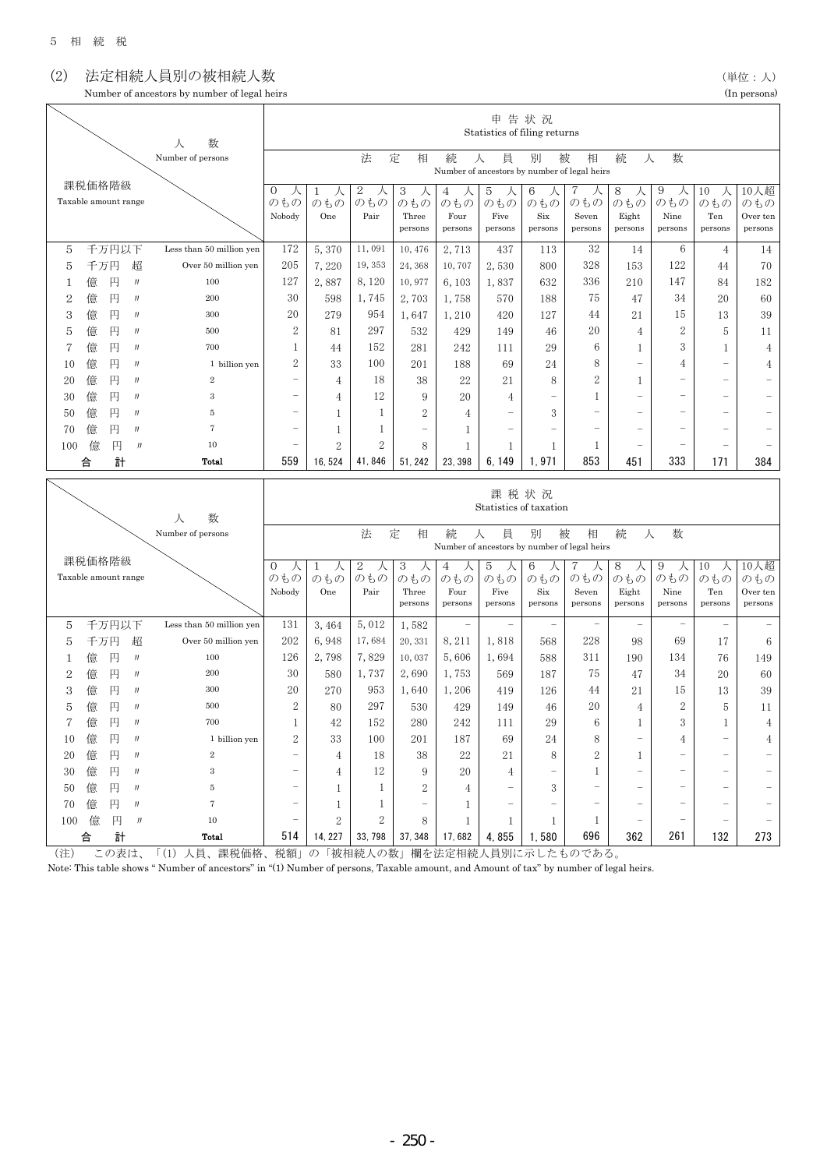## (2) 法定相続人員別の被相続人数 (2) またの) しょうしょうしょう (2) またす

| Number of ancestors by number of legal heirs | (In persons. |
|----------------------------------------------|--------------|
| .                                            |              |

| 道位 |  |  |
|----|--|--|
|    |  |  |

|              |     |                      |                  |                          |                          |                |                             |                  |                                              |                          | 申告状況                           |                          |                          |                       |                          |                     |
|--------------|-----|----------------------|------------------|--------------------------|--------------------------|----------------|-----------------------------|------------------|----------------------------------------------|--------------------------|--------------------------------|--------------------------|--------------------------|-----------------------|--------------------------|---------------------|
|              |     |                      |                  | 数<br>л                   |                          |                |                             |                  |                                              |                          | Statistics of filing returns   |                          |                          |                       |                          |                     |
|              |     |                      |                  | Number of persons        |                          |                | 法                           | 定<br>相           | 続                                            | 員<br>人                   | 別                              | 被<br>相                   | 続<br>人                   | 数                     |                          |                     |
|              |     |                      |                  |                          |                          |                |                             |                  | Number of ancestors by number of legal heirs |                          |                                |                          |                          |                       |                          |                     |
|              |     | 課税価格階級               |                  |                          | 0<br>人                   | 人<br>1         | $\boldsymbol{2}$<br>人       | 3<br>人           | 4<br>人                                       | 5<br>人                   | 6<br>人                         | 7<br>人                   | 8<br>人                   | 9<br>人                | 10<br>人                  | 10人超                |
|              |     | Taxable amount range |                  |                          | のもの                      | のもの            | のもの                         | のもの              | のもの                                          | のもの                      | のもの                            | のもの                      | のもの                      | のもの                   | のもの                      | のもの                 |
|              |     |                      |                  |                          | Nobody                   | One            | Pair                        | Three            | Four                                         | Five                     | $\rm {Six}$                    | Seven                    | Eight                    | Nine                  | Ten                      | Over ten            |
|              |     |                      |                  |                          |                          |                |                             | persons          | persons                                      | persons                  | persons                        | persons                  | persons                  | persons               | persons                  | persons             |
| 5            |     | 千万円以下                |                  | Less than 50 million yen | 172                      | 5,370          | 11,091                      | 10,476           | 2,713                                        | 437                      | 113                            | 32                       | 14                       | 6                     | $\overline{4}$           | 14                  |
| 5            | 千万円 |                      | 超                | Over 50 million yen      | 205                      | 7,220          | 19, 353                     | 24, 368          | 10,707                                       | 2,530                    | 800                            | 328                      | 153                      | 122                   | 44                       | 70                  |
| 1            | 億   | 円                    | $\boldsymbol{J}$ | 100                      | 127                      | 2,887          | 8,120                       | 10,977           | 6, 103                                       | 1,837                    | 632                            | 336                      | 210                      | 147                   | 84                       | 182                 |
| 2            | 億   | 円                    | $J\bar J$        | 200                      | 30                       | 598            | 1,745                       | 2,703            | 1,758                                        | 570                      | 188                            | 75                       | 47                       | 34                    | 20                       | 60                  |
| 3            | 億   | 円                    | $J\bar J$        | 300                      | 20                       | 279            | 954                         | 1,647            | 1,210                                        | 420                      | 127                            | 44                       | 21                       | 15                    | 13                       | 39                  |
| 5            | 億   | 円                    | IJ               | 500                      | $\boldsymbol{2}$         | 81             | 297                         | 532              | 429                                          | 149                      | 46                             | 20                       | 4                        | 2                     | 5                        | 11                  |
| 7            | 億   | 円                    | $_{J}$           | 700                      | 1                        | 44             | 152                         | 281              | 242                                          | 111                      | 29                             | 6                        | 1                        | 3                     | 1                        | $\overline{4}$      |
| 10           | 億   | 円                    | J                | 1 billion yen            | $\overline{2}$           | 33             | 100                         | 201              | 188                                          | 69                       | 24                             | 8                        | $\overline{\phantom{0}}$ | 4                     | $\overline{\phantom{0}}$ | 4                   |
| 20           | 億   | 円                    | IJ               | $\overline{2}$           | $\overline{\phantom{0}}$ | 4              | 18                          | 38               | 22                                           | 21                       | 8                              | $\boldsymbol{2}$         | 1                        |                       | $\overline{\phantom{0}}$ |                     |
| 30           | 億   | 円                    | IJ               | 3                        |                          | 4              | 12                          | 9                | 20                                           | 4                        | $\overline{a}$                 | 1                        | $\overline{\phantom{0}}$ |                       | $\overline{\phantom{0}}$ |                     |
| 50           | 億   | 円                    | IJ               | 5                        | $\overline{a}$           | 1              | 1                           | $\overline{2}$   | 4                                            | $\overline{a}$           | 3                              | $\overline{\phantom{0}}$ | $\overline{\phantom{0}}$ |                       |                          |                     |
| 70           | 億   | 円                    | J                | 7                        | $\overline{a}$           | 1              | 1                           |                  | 1                                            | $\overline{\phantom{0}}$ | $\overline{\phantom{0}}$       | $\overline{\phantom{0}}$ | $\overline{a}$           |                       |                          |                     |
| 100          | 億   | 円                    | IJ               | 10                       |                          | $\overline{2}$ | 2                           | 8                | 1                                            | 1                        | 1                              | 1                        | $\overline{\phantom{0}}$ |                       | $\overline{\phantom{0}}$ |                     |
|              | 合   | 計                    |                  | Total                    | 559                      | 16, 524        | 41,846                      | 51, 242          | 23, 398                                      | 6.149                    | 1.971                          | 853                      | 451                      | 333                   | 171                      | 384                 |
|              |     |                      |                  |                          |                          |                |                             |                  |                                              |                          |                                |                          |                          |                       |                          |                     |
|              |     |                      |                  |                          |                          |                |                             |                  |                                              |                          |                                |                          |                          |                       |                          |                     |
|              |     |                      |                  |                          |                          |                |                             |                  |                                              |                          |                                |                          |                          |                       |                          |                     |
|              |     |                      |                  |                          |                          |                |                             |                  |                                              |                          | 課税状況<br>Statistics of taxation |                          |                          |                       |                          |                     |
|              |     |                      |                  | 数<br>人                   |                          |                |                             |                  |                                              |                          |                                |                          |                          |                       |                          |                     |
|              |     |                      |                  | Number of persons        |                          |                | 法                           | 定<br>相           | 続                                            | 員<br>人                   | 別                              | 被<br>相                   | 続<br>人                   | 数                     |                          |                     |
|              |     |                      |                  |                          |                          |                |                             |                  | Number of ancestors by number of legal heirs |                          |                                |                          |                          |                       |                          |                     |
|              |     | 課税価格階級               |                  |                          | $\mathbf{0}$<br>人        | 1<br>人         | $\sqrt{2}$<br>人             | 3<br>人           | 4<br>人                                       | 5<br>人                   | 6<br>人                         | 7<br>人                   | 8<br>人                   | 9<br>人                | 10<br>人                  | 10人超                |
|              |     | Taxable amount range |                  |                          | のもの                      | のもの<br>One     | のもの<br>Pair                 | のもの              | のもの<br>Four                                  | のもの<br>Five              | のもの<br>$\rm {Six}$             | のもの                      | のもの                      | のもの                   | のもの                      | のもの                 |
|              |     |                      |                  |                          | Nobody                   |                |                             | Three<br>persons | persons                                      | persons                  | persons                        | Seven<br>persons         | Eight<br>persons         | Nine<br>persons       | Ten<br>persons           | Over ten<br>persons |
|              |     |                      |                  | Less than 50 million yen |                          |                |                             |                  |                                              |                          | $\qquad \qquad -$              | $\overline{\phantom{0}}$ |                          |                       |                          |                     |
| 5            |     | 千万円以下                |                  |                          | 131                      | 3,464          | 5,012                       | 1,582            |                                              |                          |                                |                          |                          | 69                    |                          |                     |
| 5            | 千万円 |                      | 超                | Over 50 million yen      | 202                      | 6,948          | 17,684                      | 20, 331          | 8,211                                        | 1,818                    | 568                            | 228                      | 98                       |                       | 17                       | 6                   |
| 1            | 億   | 円                    | $\boldsymbol{J}$ | 100                      | 126                      | 2,798          | 7,829                       | 10,037           | 5,606                                        | 1,694                    | 588                            | 311                      | 190                      | 134                   | 76                       | 149                 |
| $\mathbf{2}$ | 億   | 円                    | $\boldsymbol{J}$ | 200                      | 30                       | 580            | 1,737                       | 2,690            | 1,753                                        | 569                      | 187                            | 75                       | 47                       | 34                    | 20                       | 60                  |
| 3            | 億   | 円                    | IJ               | 300                      | 20                       | 270            | 953                         | 1,640            | 1,206                                        | 419                      | 126                            | 44                       | 21                       | 15                    | 13                       | 39                  |
| 5            | 億   | 円                    | $\boldsymbol{J}$ | 500                      | $\boldsymbol{2}$         | 80             | 297                         | 530              | 429                                          | 149                      | 46                             | 20                       | 4                        | $\boldsymbol{2}$<br>ς | 5                        | 11                  |
| 7            | 億   | 円                    | IJ               | 700                      | 1                        | $42\,$         | $152\,$                     | $280\,$          | $242\,$                                      | $1\,1\,1$                | 29                             | 6                        | 1                        |                       | 1                        | 4                   |
| 10           | 億   | 円                    | $J\bar J$        | 1 billion yen            | 2                        | 33             | 100                         | 201              | 187                                          | 69                       | 24                             | 8                        | $\qquad \qquad -$        | 4                     |                          | 4                   |
| 20           | 億   | 円                    | IJ               | $\,2\,$                  |                          | 4              | 18                          | 38               | 22                                           | 21                       | 8                              | 2                        | $\mathbf{1}$             |                       |                          |                     |
| $30\,$       | 億   | 円                    | IJ               | $\,3$                    |                          | 4              | 12                          | 9                | 20                                           | $\overline{4}$           |                                | 1                        | $\overline{a}$           |                       |                          |                     |
| 50           | 億   | 円                    | IJ               | 5                        |                          | 1              | 1                           | 2                | 4                                            |                          | 3                              |                          |                          |                       |                          |                     |
| 70           | 億   | 円                    | IJ               | 7                        |                          | 1              | 1                           |                  | 1                                            |                          |                                |                          |                          |                       |                          |                     |
| 100 億        | 合   | 円<br>計               | $\frac{1}{2}$    | 10<br><b>Total</b>       | 514                      | 2<br>14, 227   | $\boldsymbol{2}$<br>33, 798 | 8<br>37, 348     | 1<br>17,682                                  | 1<br>4,855               | 1<br>1,580                     | $\mathbf{1}$<br>696      | 362                      | 261                   | 132                      | 273                 |

(注) この表は、「(1) 人員、課税価格、税額」の「被相続人の数」欄を法定相続人員別に示したものである。

Note: This table shows " Number of ancestors" in "(1) Number of persons, Taxable amount, and Amount of tax" by number of legal heirs.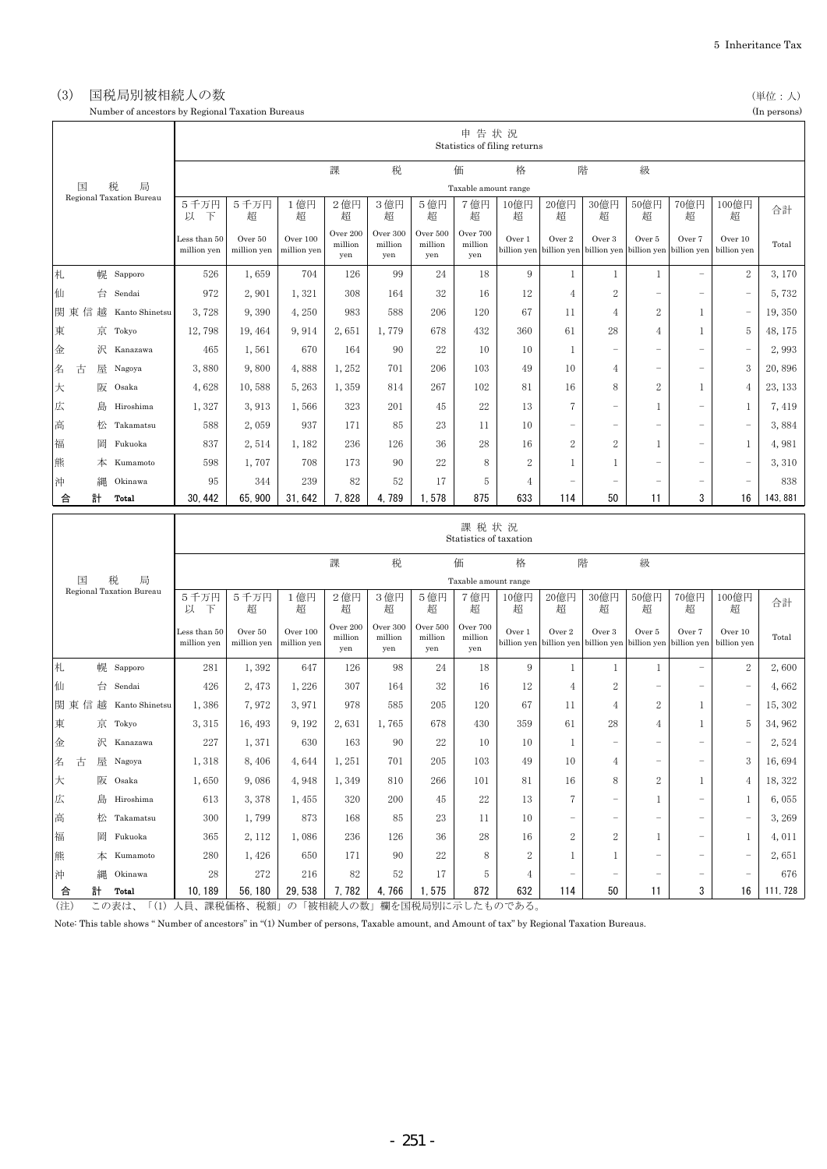### (3) 国税局別被相続人の数 (単位:人) これは インスター (単位:人) これは (単位:人)

Number of ancestors by Regional Taxation Bureaus (In persons)

|        |        |                                    |                                |                        |                         |                            |                            |                            | 申告状況                       | Statistics of filing returns |                       |                                                           |                          |                          |                                |                 |
|--------|--------|------------------------------------|--------------------------------|------------------------|-------------------------|----------------------------|----------------------------|----------------------------|----------------------------|------------------------------|-----------------------|-----------------------------------------------------------|--------------------------|--------------------------|--------------------------------|-----------------|
|        |        |                                    |                                |                        |                         | 課                          | 税                          |                            | 価                          | 格                            | 階                     |                                                           | 級                        |                          |                                |                 |
|        | 国      | 局<br>税<br>Regional Taxation Bureau |                                |                        |                         |                            |                            |                            | Taxable amount range       |                              |                       |                                                           |                          |                          |                                |                 |
|        |        |                                    | 5千万円<br>以<br>下                 | 5千万円<br>超              | 1億円<br>超                | 2億円<br>超                   | 3億円<br>超                   | 5億円<br>超                   | 7億円<br>超                   | 10億円<br>超                    | 20億円<br>超             | 30億円<br>超                                                 | 50億円<br>超                | 70億円<br>超                | 100億円<br>超                     | 合計              |
|        |        |                                    | Less than 50<br>million yen    | Over 50<br>million yen | Over 100<br>million yen | Over 200<br>million<br>yen | Over 300<br>million<br>yen | Over 500<br>million<br>yen | Over 700<br>million<br>yen | Over 1                       | Over 2                | Over 3<br>billion yen billion yen billion yen billion yen | Over 5                   | Over 7<br>billion yen    | Over 10<br>billion yen         | Total           |
| 札      |        | 幌 Sapporo                          | 526                            | 1,659                  | 704                     | 126                        | 99                         | 24                         | 18                         | 9                            | 1                     | 1                                                         | 1                        |                          | $\sqrt{2}$                     | 3,170           |
| 仙      |        | 台 Sendai                           | 972                            | 2,901                  | 1,321                   | 308                        | 164                        | 32                         | 16                         | 12                           | 4                     | 2                                                         | $\overline{\phantom{0}}$ |                          |                                | 5,732           |
| 関東     |        | 信 越 Kanto Shinetsu                 | 3,728                          | 9,390                  | 4,250                   | 983                        | 588                        | 206                        | 120                        | 67                           | 11                    | 4                                                         | 2                        | $\mathbf{1}$             | $\overline{\phantom{a}}$       | 19,350          |
| 東      |        | 京 Tokyo                            | 12,798                         | 19, 464                | 9,914                   | 2,651                      | 1,779                      | 678                        | 432                        | 360                          | 61                    | 28                                                        | 4                        | $\mathbf{1}$             | $\sqrt{5}$                     | 48, 175         |
| 金      |        | 沢 Kanazawa                         | 465                            | 1,561                  | 670                     | 164                        | 90                         | 22                         | 10                         | 10                           | 1                     | -                                                         | $\qquad \qquad -$        | -                        |                                | 2,993           |
| 名      | 古      | 屋 Nagoya                           | 3,880                          | 9,800                  | 4,888                   | 1,252                      | 701                        | 206                        | 103                        | 49                           | 10                    | 4                                                         | $\qquad \qquad -$        | $\overline{\phantom{0}}$ | 3                              | 20,896          |
| 大      |        | 阪 Osaka                            | 4,628                          | 10,588                 | 5, 263                  | 1,359                      | 814                        | 267                        | 102                        | 81                           | 16                    | 8                                                         | 2                        | $\mathbf{1}$             | $\overline{4}$                 | 23, 133         |
| 広      |        | 島 Hiroshima                        | 1,327                          | 3,913                  | 1,566                   | 323                        | 201                        | 45                         | 22                         | 13                           | $\overline{7}$        | ÷,                                                        | $\mathbf{1}$             | $\overline{\phantom{0}}$ | $\mathbf{1}$                   | 7,419           |
| 高      |        | 松 Takamatsu                        | 588                            | 2,059                  | 937                     | 171                        | 85                         | 23                         | 11                         | 10                           |                       | -                                                         | -                        | $\overline{\phantom{0}}$ | $\overline{\phantom{0}}$       | 3,884           |
| 福      |        | 岡 Fukuoka                          | 837                            | 2,514                  | 1, 182                  | 236                        | 126                        | 36                         | 28                         | 16                           | $\boldsymbol{2}$      | 2                                                         | $\mathbf{1}$             | $\overline{\phantom{0}}$ | $\mathbf{1}$                   | 4,981           |
| 熊      |        | 本 Kumamoto                         | 598                            | 1,707                  | 708                     | 173                        | 90                         | 22                         | 8                          | $\boldsymbol{2}$             | -1                    | 1                                                         | $\overline{\phantom{0}}$ | $\overline{\phantom{0}}$ | $\overline{\phantom{0}}$       | 3, 310          |
| 沖      | 縄      | Okinawa                            | 95                             | 344                    | 239                     | 82                         | 52                         | 17                         | 5                          | $\overline{4}$               |                       | -                                                         |                          |                          | $\overline{\phantom{m}}$       | 838             |
|        |        | Total                              | 30, 442                        | 65, 900                | 31, 642                 | 7,828                      | 4,789                      | 1,578                      | 875                        | 633                          | 114                   | 50                                                        | 11                       | 3                        | 16                             | 143.881         |
|        | 計<br>合 |                                    | 課税状況<br>Statistics of taxation |                        |                         |                            |                            |                            |                            |                              |                       |                                                           |                          |                          |                                |                 |
|        |        |                                    |                                |                        |                         |                            |                            |                            |                            |                              |                       |                                                           |                          |                          |                                |                 |
|        | 国      | 税<br>局                             |                                |                        |                         | 課                          | 税                          |                            | 価<br>Taxable amount range  | 格                            | 階                     |                                                           | 級                        |                          |                                |                 |
|        |        | Regional Taxation Bureau           | 5千万円<br>以<br>下                 | 5千万円<br>超              | 1億円<br>超                | 2億円<br>超                   | 3億円<br>超                   | 5億円<br>超                   | 7億円<br>超                   | 10億円<br>超                    | 20億円<br>超             | 30億円<br>超                                                 | 50億円<br>超                | 70億円<br>超                | 100億円<br>超                     | 合計              |
|        |        |                                    | Less than 50<br>million yen    | Over 50<br>million yen | Over 100<br>million yen | Over 200<br>million<br>yen | Over 300<br>million<br>yen | Over 500<br>million<br>yen | Over 700<br>million<br>yen | Over 1<br>billion yen        | Over 2<br>billion yen | Over 3<br>billion yen                                     | Over 5<br>billion yen    | Over 7<br>billion yen    | Over 10<br>billion yen         | Total           |
| 札      |        | 幌 Sapporo                          | 281                            | 1,392                  | 647                     | 126                        | 98                         | 24                         | 18                         | 9                            | -1                    | 1                                                         | 1                        |                          | $\sqrt{2}$                     | 2,600           |
| 仙      |        | 台 Sendai                           | 426                            | 2, 473                 | 1,226                   | 307                        | 164                        | 32                         | 16                         | 12                           | 4                     | 2                                                         | $\qquad \qquad -$        | -                        |                                | 4,662           |
|        |        | 関東信越 Kanto Shinetsu                | 1,386                          | 7,972                  | 3,971                   | 978                        | 585                        | 205                        | 120                        | 67                           | 11                    | 4                                                         | $\overline{2}$           | 1                        | $\overline{\phantom{0}}$       | 15, 302         |
| 東      |        | 京 Tokyo                            | 3, 315                         | 16, 493                | 9, 192                  | 2,631                      | 1,765                      | 678                        | 430                        | 359                          | 61                    | 28                                                        | 4                        | $\mathbf{1}$             | 5                              | 34, 962         |
| 金      |        | 沢 Kanazawa                         | 227                            | 1,371                  | 630                     | 163                        | 90                         | 22                         | 10                         | 10                           | 1                     | ÷,                                                        | $\qquad \qquad -$        | $\overline{\phantom{0}}$ | $\qquad \qquad -$              | 2,524           |
| 名      | 古      | 屋 Nagoya                           | 1,318                          | 8,406                  | 4,644                   | 1,251                      | 701                        | 205                        | 103                        | 49                           | 10                    | 4                                                         | -                        | -                        | 3                              | 16,694          |
| 大      |        | 阪 Osaka                            | 1,650                          | 9,086                  | 4,948                   | 1,349                      | 810                        | 266                        | 101                        | 81                           | 16                    | 8                                                         | 2                        | 1                        | $\overline{4}$                 | 18, 322         |
| 広      |        | 島 Hiroshima                        | 613                            | 3,378                  | 1,455                   | 320                        | 200                        | 45                         | 22                         | 13                           | 7                     |                                                           | 1                        |                          | 1                              | 6,055           |
| 高      |        | 松 Takamatsu                        | 300                            | 1,799                  | 873                     | 168                        | 85                         | 23                         | 11                         | 10                           |                       | $\overline{\phantom{0}}$                                  | $\overline{\phantom{0}}$ | $\overline{\phantom{0}}$ |                                | 3,269           |
| 福      | 岡      | Fukuoka                            | 365                            | 2, 112                 | 1,086                   | 236                        | 126                        | 36                         | 28                         | 16                           | $\boldsymbol{2}$      | 2                                                         | $\mathbf{1}$             | $\overline{\phantom{0}}$ | 1                              | 4,011           |
| 熊      | 本      | Kumamoto                           | 280                            | 1,426                  | 650                     | 171                        | 90                         | 22                         | 8                          | $\boldsymbol{2}$             | 1                     | 1                                                         | -                        | -                        | $\overline{\phantom{m}}$       | 2,651           |
| 沖<br>合 | 計      | Okinawa<br>Total                   | 28<br>10, 189                  | 272<br>56, 180         | 216<br>29, 538          | 82<br>7, 782               | 52<br>4,766                | 17<br>1,575                | 5<br>872                   | $\overline{4}$<br>632        | 114                   | -<br>50                                                   | -<br>11                  | -<br>3                   | $\overline{\phantom{a}}$<br>16 | 676<br>111, 728 |

(注) この表は、「(1) 人員、課税価格、税額」の「被相続人の数」欄を国税局別に示したものである。

Note: This table shows " Number of ancestors" in "(1) Number of persons, Taxable amount, and Amount of tax" by Regional Taxation Bureaus.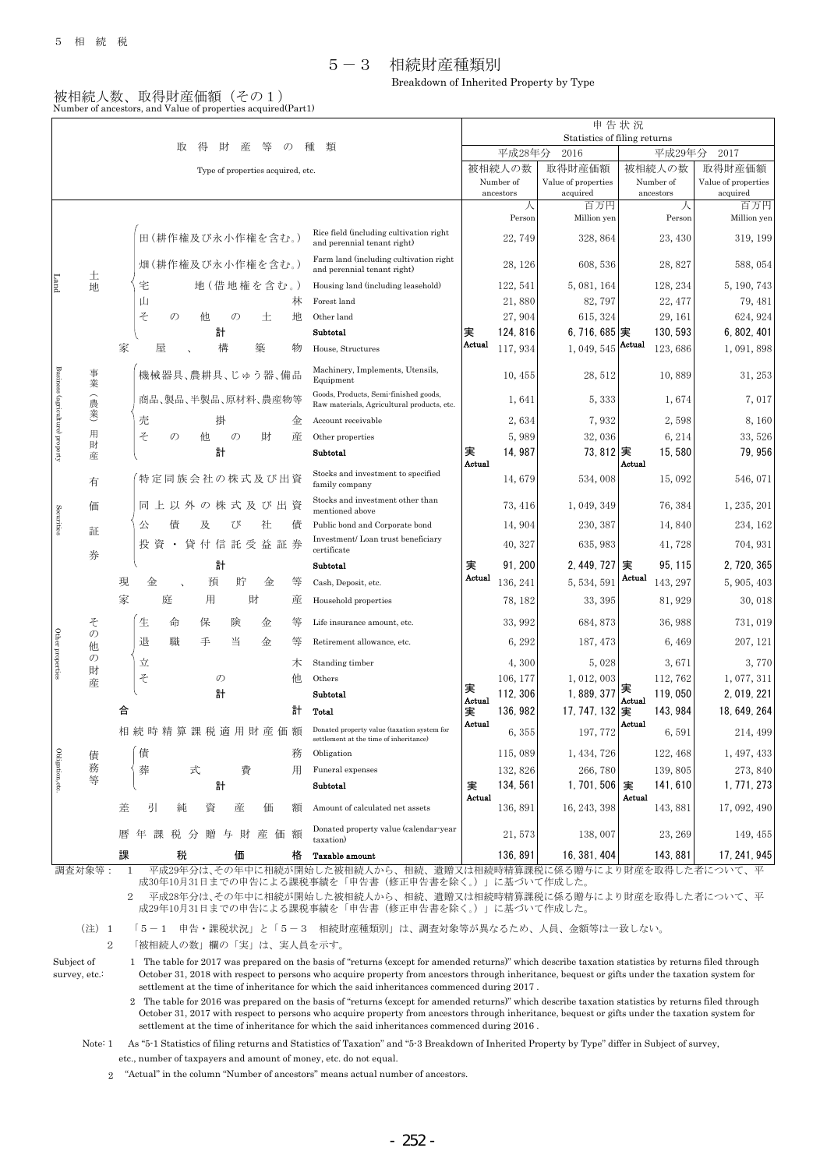#### 5-3 相続財産種類別

Breakdown of Inherited Property by Type

#### 被相続人数、取得財産価額(その1) Number of ancestors, and Value of properties acquired(Part1)

| 取<br>得<br>財<br>産<br>$\mathcal{O}$<br>種<br>類<br>尝                     |              |                                                    |                    |                                                                                                                                     |                                               |                                |                                                                                     |                                                                                  | 申告状況                         |                     |                                      |                        |                               |  |
|----------------------------------------------------------------------|--------------|----------------------------------------------------|--------------------|-------------------------------------------------------------------------------------------------------------------------------------|-----------------------------------------------|--------------------------------|-------------------------------------------------------------------------------------|----------------------------------------------------------------------------------|------------------------------|---------------------|--------------------------------------|------------------------|-------------------------------|--|
|                                                                      |              |                                                    |                    |                                                                                                                                     |                                               |                                |                                                                                     |                                                                                  | Statistics of filing returns |                     |                                      |                        |                               |  |
|                                                                      |              |                                                    |                    |                                                                                                                                     |                                               |                                |                                                                                     |                                                                                  |                              | 平成28年分              | 2016                                 | 平成29年分                 | 2017                          |  |
| Type of properties acquired, etc.                                    |              |                                                    |                    |                                                                                                                                     |                                               |                                |                                                                                     |                                                                                  |                              | 被相続人の数<br>Number of | 取得財産価額<br>Value of properties        | 被相続人の数<br>Number of    | 取得財産価額<br>Value of properties |  |
|                                                                      |              |                                                    |                    |                                                                                                                                     |                                               |                                |                                                                                     |                                                                                  |                              | ancestors           | acquired                             | ancestors              | acquired                      |  |
|                                                                      |              |                                                    |                    |                                                                                                                                     |                                               |                                |                                                                                     |                                                                                  |                              | 人                   | 百万円                                  | 人                      | 百万円                           |  |
|                                                                      |              |                                                    |                    |                                                                                                                                     |                                               |                                |                                                                                     |                                                                                  |                              | Person              | Million yen                          | Person                 | Million yen                   |  |
| 土<br>Land<br>地                                                       |              | 田(耕作権及び永小作権を含む。)                                   |                    |                                                                                                                                     |                                               |                                |                                                                                     | Rice field (including cultivation right)<br>and perennial tenant right)          |                              | 22,749              | 328, 864                             | 23, 430                | 319, 199                      |  |
|                                                                      |              | 畑(耕作権及び永小作権を含む。)                                   |                    |                                                                                                                                     |                                               |                                |                                                                                     | Farm land (including cultivation right)<br>and perennial tenant right)           |                              | 28, 126             | 608, 536                             | 28,827                 | 588, 054                      |  |
|                                                                      |              | 宅                                                  |                    | 地(借地権を含む。)                                                                                                                          |                                               |                                |                                                                                     | Housing land (including leasehold)                                               |                              | 122, 541            | 5, 081, 164                          | 128, 234               | 5, 190, 743                   |  |
|                                                                      |              |                                                    | 山<br>林             |                                                                                                                                     |                                               |                                |                                                                                     | Forest land                                                                      | 21,880                       |                     | 82, 797                              | 22, 477                | 79, 481                       |  |
|                                                                      |              | そ                                                  | $\mathcal{O}$<br>他 |                                                                                                                                     |                                               | 土                              | 地                                                                                   | Other land                                                                       |                              | 27,904              | 615, 324                             | 29, 161                | 624, 924                      |  |
|                                                                      |              |                                                    |                    | 計                                                                                                                                   |                                               |                                |                                                                                     | Subtotal                                                                         | 実                            | 124, 816            | $6, 716, 685$  実                     | 130, 593               | 6, 802, 401                   |  |
|                                                                      | 家            | 屋                                                  |                    | 構                                                                                                                                   |                                               | 築                              | 物                                                                                   | House, Structures                                                                | Actual                       | 117, 934            | 1,049,545                            | Actual<br>123,686      | 1,091,898                     |  |
| 事<br>業                                                               |              | 機械器具、農耕具、じゅう器、備品                                   |                    |                                                                                                                                     | Machinery, Implements, Utensils,<br>Equipment |                                | 10, 455                                                                             | 28, 512                                                                          | 10,889                       | 31, 253             |                                      |                        |                               |  |
| Business (agriculture) property<br>食                                 |              |                                                    |                    | 商品、製品、半製品、原材料、農産物等                                                                                                                  |                                               |                                | Goods, Products, Semi-finished goods,<br>Raw materials, Agricultural products, etc. |                                                                                  | 1,641                        | 5, 333              | 1,674                                | 7,017                  |                               |  |
| 美                                                                    |              | 売                                                  | 掛                  | 金                                                                                                                                   | Account receivable                            |                                | 2,634                                                                               | 7,932                                                                            | 2,598                        | 8,160               |                                      |                        |                               |  |
| 用                                                                    |              | そ                                                  | $\mathcal{O}$      | 他                                                                                                                                   | $\mathcal{O}$                                 | 財                              | 産                                                                                   | Other properties                                                                 |                              | 5,989               | 32,036                               | 6, 214                 | 33, 526                       |  |
| 財<br>産                                                               |              |                                                    | 計                  |                                                                                                                                     |                                               |                                |                                                                                     | Subtotal                                                                         | 実<br>Actual                  | 14, 987             | 73, 812 実                            | 15,580<br>Actual       | 79, 956                       |  |
| 有                                                                    |              | 特定同族会社の株式及び出資                                      |                    |                                                                                                                                     |                                               |                                |                                                                                     | Stocks and investment to specified<br>family company                             |                              | 14,679              | 534,008                              | 15,092                 | 546, 071                      |  |
| 価                                                                    |              | 同上以外の株式及び出資<br>及<br>社<br>倩<br>公<br>び               |                    | Stocks and investment other than<br>mentioned above                                                                                 |                                               | 73, 416                        | 1, 049, 349                                                                         | 76, 384                                                                          | 1, 235, 201                  |                     |                                      |                        |                               |  |
| Securities<br>証                                                      |              |                                                    |                    |                                                                                                                                     | 債                                             | Public bond and Corporate bond |                                                                                     | 14,904                                                                           | 230, 387                     | 14,840              | 234, 162                             |                        |                               |  |
| 券                                                                    |              | 投資·貸付信託受益証券                                        |                    |                                                                                                                                     |                                               |                                |                                                                                     | Investment/Loan trust beneficiary<br>certificate                                 |                              | 40, 327             | 635, 983                             | 41,728                 | 704, 931                      |  |
|                                                                      |              |                                                    |                    | 計                                                                                                                                   |                                               |                                |                                                                                     | Subtotal                                                                         | 実                            | 91, 200             | 2,449,727                            | 95, 115<br>実           | 2, 720, 365                   |  |
|                                                                      | 現            | 金                                                  |                    | 預                                                                                                                                   | 貯                                             | 金                              | 等                                                                                   | Cash, Deposit, etc.                                                              | Actual                       | 136, 241            | 5, 534, 591                          | Actual<br>143, 297     | 5, 905, 403                   |  |
|                                                                      | 家            | 庭                                                  |                    | 用<br>財                                                                                                                              |                                               | 産                              | Household properties                                                                |                                                                                  | 78, 182                      | 33, 395             | 81, 929                              | 30,018                 |                               |  |
| そ                                                                    |              | 生                                                  | 命                  | 保                                                                                                                                   | 険                                             | 金                              | 等                                                                                   | Life insurance amount, etc.                                                      |                              | 33, 992             | 684, 873                             | 36, 988                | 731,019                       |  |
| Other properties<br>$\mathcal{O}$<br>他                               |              | 退                                                  | 職                  | 手                                                                                                                                   | 当                                             | 金                              | 等                                                                                   | Retirement allowance, etc.                                                       |                              | 6, 292              | 187, 473                             | 6,469                  | 207, 121                      |  |
| $\mathcal{O}$<br>財                                                   |              | 立                                                  |                    |                                                                                                                                     |                                               |                                | 木                                                                                   | Standing timber                                                                  |                              | 4,300               | 5,028                                | 3,671                  | 3,770                         |  |
| 産                                                                    |              | そ                                                  |                    | $\mathcal{O}$                                                                                                                       |                                               |                                | 他                                                                                   | Others                                                                           |                              | 106, 177            | 1, 012, 003                          | 112,762                | 1,077,311                     |  |
|                                                                      |              |                                                    |                    | 計                                                                                                                                   |                                               |                                |                                                                                     | Subtotal                                                                         | 実<br>Actual                  | 112, 306            | 1, 889, 377                          | 実<br>119,050<br>Actual | 2, 019, 221                   |  |
|                                                                      | 合            |                                                    |                    |                                                                                                                                     |                                               |                                | 計                                                                                   | Total                                                                            | 実                            | 136, 982            | 17, 747, 132 実                       | 143, 984               | 18, 649, 264                  |  |
|                                                                      |              | 相 続 時 精 算 課 税 適 用<br>財産価額<br>債<br>式<br>費<br>葬<br>計 |                    | Donated property value (taxation system for<br>settlement at the time of inheritance)<br>Obligation<br>Funeral expenses<br>Subtotal | Actual<br>実                                   | 6,355                          | 197, 772                                                                            | Actual<br>6,591                                                                  | 214, 499                     |                     |                                      |                        |                               |  |
| 債                                                                    |              |                                                    | 務                  |                                                                                                                                     |                                               | 115,089                        | 1, 434, 726                                                                         | 122, 468                                                                         | 1, 497, 433                  |                     |                                      |                        |                               |  |
| Obligation,etc.<br>務                                                 |              |                                                    | 用                  |                                                                                                                                     |                                               | 132, 826                       | 266,780                                                                             | 139,805                                                                          | 273, 840                     |                     |                                      |                        |                               |  |
| 等                                                                    |              |                                                    |                    |                                                                                                                                     |                                               | 134, 561                       | 1,701,506                                                                           | 141, 610<br>実                                                                    | 1, 771, 273                  |                     |                                      |                        |                               |  |
|                                                                      | 差            | 引                                                  | 純                  | 資                                                                                                                                   | 産                                             | 価                              | 額                                                                                   | Amount of calculated net assets                                                  | Actual                       | 136, 891            | 16, 243, 398                         | Actual<br>143,881      | 17, 092, 490                  |  |
|                                                                      |              | 年 課                                                | 税 分                | 贈                                                                                                                                   | 与財                                            | 産 価 額                          |                                                                                     | Donated property value (calendar-year<br>taxation)                               |                              | 21, 573             | 138,007                              | 23, 269                | 149, 455                      |  |
|                                                                      | 課            |                                                    | 税                  |                                                                                                                                     | 価                                             |                                | 格                                                                                   | <b>Taxable amount</b>                                                            |                              | 136, 891            | 16, 381, 404                         | 143, 881               | 17, 241, 945                  |  |
| 調査対象等:                                                               | $\mathbf{1}$ |                                                    |                    |                                                                                                                                     |                                               |                                |                                                                                     | 平成29年分は、その年中に相続が開始した被相続人から、<br>成30年10月31日までの申告による課税事績を「申告書(修正申告書を除く。)」に基づいて作成した。 |                              |                     | 相続、遺贈又は相続時精算課税に係る贈与により財産を取得した者について、平 |                        |                               |  |
| 平成28年分は、その年中に相続が開始した被相続人から、相続、遺贈又は相続時精算課税に係る贈与により財産を取得した者について、平<br>2 |              |                                                    |                    |                                                                                                                                     |                                               |                                |                                                                                     |                                                                                  |                              |                     |                                      |                        |                               |  |

成29年10月31日までの申告による課税事績を「申告書(修正申告書を除く。)」に基づいて作成した。

(注)1 「5-1 申告・課税状況」と「5-3 相続財産種類別」は、調査対象等が異なるため、人員、金額等は一致しない。

2 「被相続人の数」欄の「実」は、実人員を示す。

Subject of

survey, etc.: 1 The table for 2017 was prepared on the basis of "returns (except for amended returns)" which describe taxation statistics by returns filed through October 31, 2018 with respect to persons who acquire property from ancestors through inheritance, bequest or gifts under the taxation system for settlement at the time of inheritance for which the said inheritances commenced during 2017 .

2 The table for 2016 was prepared on the basis of "returns (except for amended returns)" which describe taxation statistics by returns filed through October 31, 2017 with respect to persons who acquire property from ancestors through inheritance, bequest or gifts under the taxation system for settlement at the time of inheritance for which the said inheritances commenced during 2016 .

Note: 1 As "5-1 Statistics of filing returns and Statistics of Taxation" and "5-3 Breakdown of Inherited Property by Type" differ in Subject of survey,

etc., number of taxpayers and amount of money, etc. do not equal.

2 "Actual" in the column "Number of ancestors" means actual number of ancestors.